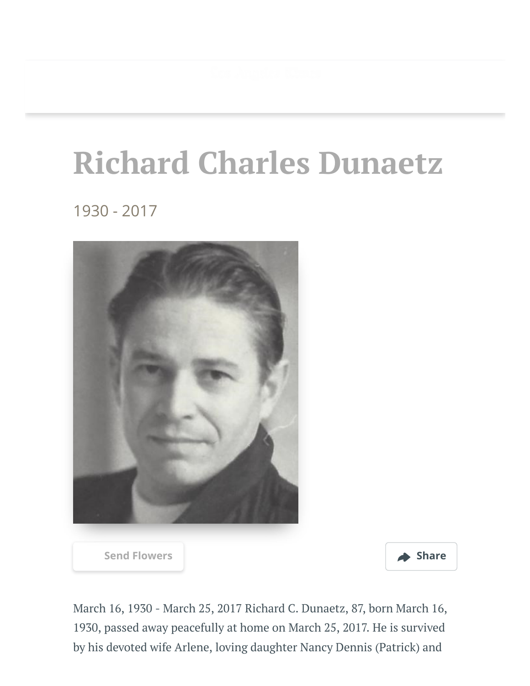## **Richard Charles Dunaetz**

1930 - 2017



[Send Flowers](https://sympathy.legacy.com/en-us/funeral-flowers/name/richard-dunaetz-funeral-flowers/p184773084/?affiliateId=91&pm=205) **Share** 



March 16, 1930 - March 25, 2017 Richard C. Dunaetz, 87, born March 16, 1930, passed away peacefully at home on March 25, 2017. He is survived by his devoted wife Arlene, loving daughter Nancy Dennis (Patrick) and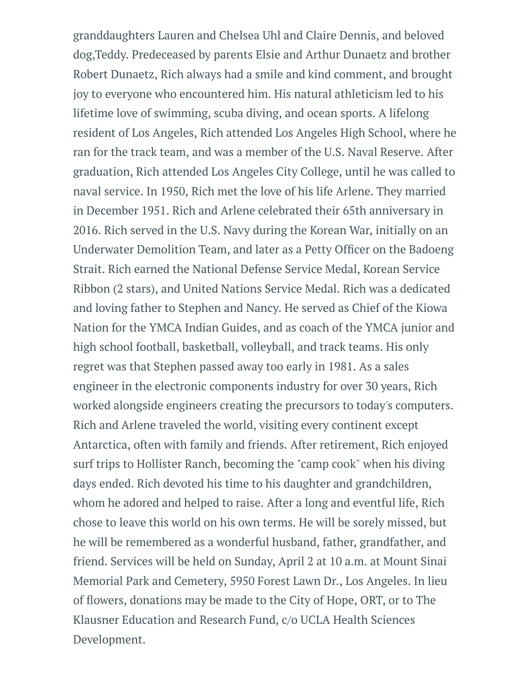granddaughters Lauren and Chelsea Uhl and Claire Dennis, and beloved dog,Teddy. Predeceased by parents Elsie and Arthur Dunaetz and brother Robert Dunaetz, Rich always had a smile and kind comment, and brought joy to everyone who encountered him. His natural athleticism led to his lifetime love of swimming, scuba diving, and ocean sports. A lifelong resident of Los Angeles, Rich attended Los Angeles High School, where he ran for the track team, and was a member of the U.S. Naval Reserve. After graduation, Rich attended Los Angeles City College, until he was called to naval service. In 1950, Rich met the love of his life Arlene. They married in December 1951. Rich and Arlene celebrated their 65th anniversary in 2016. Rich served in the U.S. Navy during the Korean War, initially on an Underwater Demolition Team, and later as a Petty Officer on the Badoeng Strait. Rich earned the National Defense Service Medal, Korean Service Ribbon (2 stars), and United Nations Service Medal. Rich was a dedicated and loving father to Stephen and Nancy. He served as Chief of the Kiowa Nation for the YMCA Indian Guides, and as coach of the YMCA junior and high school football, basketball, volleyball, and track teams. His only regret was that Stephen passed away too early in 1981. As a sales engineer in the electronic components industry for over 30 years, Rich worked alongside engineers creating the precursors to today's computers. Rich and Arlene traveled the world, visiting every continent except Antarctica, often with family and friends. After retirement, Rich enjoyed surf trips to Hollister Ranch, becoming the "camp cook" when his diving days ended. Rich devoted his time to his daughter and grandchildren, whom he adored and helped to raise. After a long and eventful life, Rich chose to leave this world on his own terms. He will be sorely missed, but he will be remembered as a wonderful husband, father, grandfather, and friend. Services will be held on Sunday, April 2 at 10 a.m. at Mount Sinai Memorial Park and Cemetery, 5950 Forest Lawn Dr., Los Angeles. In lieu of flowers, donations may be made to the City of Hope, ORT, or to The Klausner Education and Research Fund, c/o UCLA Health Sciences Development.